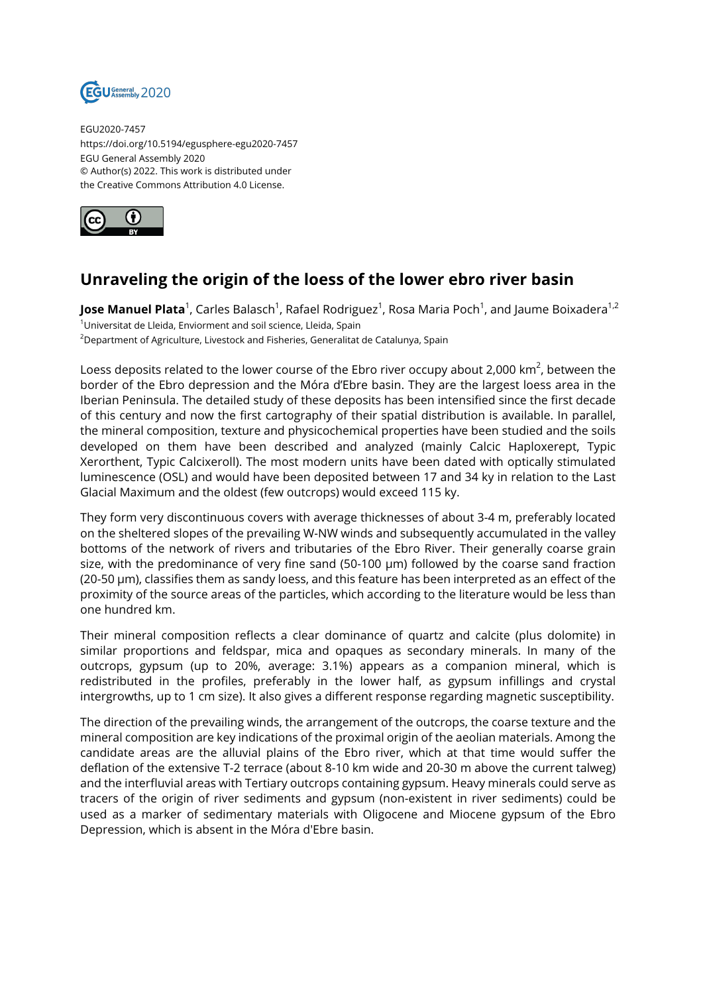

EGU2020-7457 https://doi.org/10.5194/egusphere-egu2020-7457 EGU General Assembly 2020 © Author(s) 2022. This work is distributed under the Creative Commons Attribution 4.0 License.



## **Unraveling the origin of the loess of the lower ebro river basin**

**Jose Manuel Plata**<sup>1</sup>, Carles Balasch<sup>1</sup>, Rafael Rodriguez<sup>1</sup>, Rosa Maria Poch<sup>1</sup>, and Jaume Boixadera<sup>1,2</sup>  $1$ Universitat de Lleida, Enviorment and soil science, Lleida, Spain <sup>2</sup>Department of Agriculture, Livestock and Fisheries, Generalitat de Catalunya, Spain

Loess deposits related to the lower course of the Ebro river occupy about 2,000 km $^2$ , between the border of the Ebro depression and the Móra d'Ebre basin. They are the largest loess area in the Iberian Peninsula. The detailed study of these deposits has been intensified since the first decade of this century and now the first cartography of their spatial distribution is available. In parallel, the mineral composition, texture and physicochemical properties have been studied and the soils developed on them have been described and analyzed (mainly Calcic Haploxerept, Typic Xerorthent, Typic Calcixeroll). The most modern units have been dated with optically stimulated luminescence (OSL) and would have been deposited between 17 and 34 ky in relation to the Last Glacial Maximum and the oldest (few outcrops) would exceed 115 ky.

They form very discontinuous covers with average thicknesses of about 3-4 m, preferably located on the sheltered slopes of the prevailing W-NW winds and subsequently accumulated in the valley bottoms of the network of rivers and tributaries of the Ebro River. Their generally coarse grain size, with the predominance of very fine sand (50-100 µm) followed by the coarse sand fraction (20-50 µm), classifies them as sandy loess, and this feature has been interpreted as an effect of the proximity of the source areas of the particles, which according to the literature would be less than one hundred km.

Their mineral composition reflects a clear dominance of quartz and calcite (plus dolomite) in similar proportions and feldspar, mica and opaques as secondary minerals. In many of the outcrops, gypsum (up to 20%, average: 3.1%) appears as a companion mineral, which is redistributed in the profiles, preferably in the lower half, as gypsum infillings and crystal intergrowths, up to 1 cm size). It also gives a different response regarding magnetic susceptibility.

The direction of the prevailing winds, the arrangement of the outcrops, the coarse texture and the mineral composition are key indications of the proximal origin of the aeolian materials. Among the candidate areas are the alluvial plains of the Ebro river, which at that time would suffer the deflation of the extensive T-2 terrace (about 8-10 km wide and 20-30 m above the current talweg) and the interfluvial areas with Tertiary outcrops containing gypsum. Heavy minerals could serve as tracers of the origin of river sediments and gypsum (non-existent in river sediments) could be used as a marker of sedimentary materials with Oligocene and Miocene gypsum of the Ebro Depression, which is absent in the Móra d'Ebre basin.